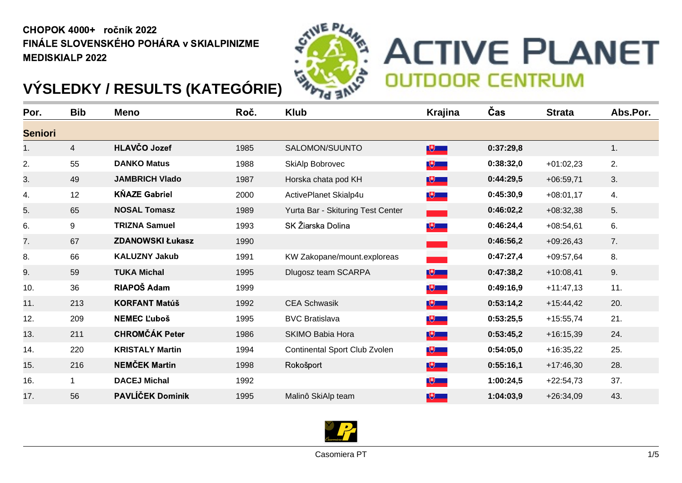## CHOPOK 4000+ ročník 2022 FINÁLE SLOVENSKÉHO POHÁRA v SKIALPINIZME MEDISKIALP 2022



## **ACTIVE PLANET OUTDOOR CENTRUM**

## **VÝSLEDKY / RESULTS (KATEGÓRIE)**

| Por.           | <b>Bib</b>     | <b>Meno</b>             | Roč. | <b>Klub</b>                       | Krajina        | Čas       | <b>Strata</b> | Abs.Por. |
|----------------|----------------|-------------------------|------|-----------------------------------|----------------|-----------|---------------|----------|
| <b>Seniori</b> |                |                         |      |                                   |                |           |               |          |
| 1.             | $\overline{4}$ | HLAVČO Jozef            | 1985 | SALOMON/SUUNTO                    | $\mathbb{R}^+$ | 0:37:29,8 |               | 1.       |
| 2.             | 55             | <b>DANKO Matus</b>      | 1988 | SkiAlp Bobrovec                   | $\mathbb{R}$   | 0:38:32,0 | $+01:02,23$   | 2.       |
| 3.             | 49             | <b>JAMBRICH Vlado</b>   | 1987 | Horska chata pod KH               | <b>NU 19</b>   | 0:44:29,5 | $+06:59,71$   | 3.       |
| 4.             | 12             | <b>KŇAZE Gabriel</b>    | 2000 | ActivePlanet Skialp4u             | $\sqrt{2}$     | 0:45:30,9 | $+08:01,17$   | 4.       |
| 5.             | 65             | <b>NOSAL Tomasz</b>     | 1989 | Yurta Bar - Skituring Test Center |                | 0:46:02,2 | $+08:32,38$   | 5.       |
| 6.             | 9              | <b>TRIZNA Samuel</b>    | 1993 | SK Žiarska Dolina                 | $\sqrt{2}$     | 0:46:24,4 | $+08:54,61$   | 6.       |
| 7.             | 67             | <b>ZDANOWSKI Łukasz</b> | 1990 |                                   |                | 0:46:56,2 | $+09:26,43$   | 7.       |
| 8.             | 66             | <b>KALUZNY Jakub</b>    | 1991 | KW Zakopane/mount.exploreas       |                | 0:47:27,4 | $+09:57,64$   | 8.       |
| 9.             | 59             | <b>TUKA Michal</b>      | 1995 | Dlugosz team SCARPA               | $\mathbb{R}^+$ | 0:47:38,2 | $+10:08,41$   | 9.       |
| 10.            | 36             | RIAPOŠ Adam             | 1999 |                                   | $\mathbb{R}$   | 0:49:16,9 | $+11:47,13$   | 11.      |
| 11.            | 213            | <b>KORFANT Matúš</b>    | 1992 | <b>CEA Schwasik</b>               | $\mathbb{R}^+$ | 0:53:14,2 | $+15:44,42$   | 20.      |
| 12.            | 209            | <b>NEMEC L'uboš</b>     | 1995 | <b>BVC Bratislava</b>             | $\sqrt{2}$     | 0:53:25,5 | $+15:55,74$   | 21.      |
| 13.            | 211            | <b>CHROMČÁK Peter</b>   | 1986 | <b>SKIMO Babia Hora</b>           | $\mathbb{R}$   | 0:53:45,2 | $+16:15,39$   | 24.      |
| 14.            | 220            | <b>KRISTALY Martin</b>  | 1994 | Continental Sport Club Zvolen     | $\sqrt{2}$     | 0:54:05,0 | $+16:35,22$   | 25.      |
| 15.            | 216            | <b>NEMČEK Martin</b>    | 1998 | Rokošport                         | $\mathbb{R}^+$ | 0:55:16,1 | $+17:46,30$   | 28.      |
| 16.            | $\mathbf{1}$   | <b>DACEJ Michal</b>     | 1992 |                                   | $\mathbb{R}$   | 1:00:24,5 | $+22:54,73$   | 37.      |
| 17.            | 56             | PAVLÍČEK Dominik        | 1995 | Malinô SkiAlp team                | $\mathbb{R}$   | 1:04:03,9 | $+26:34,09$   | 43.      |

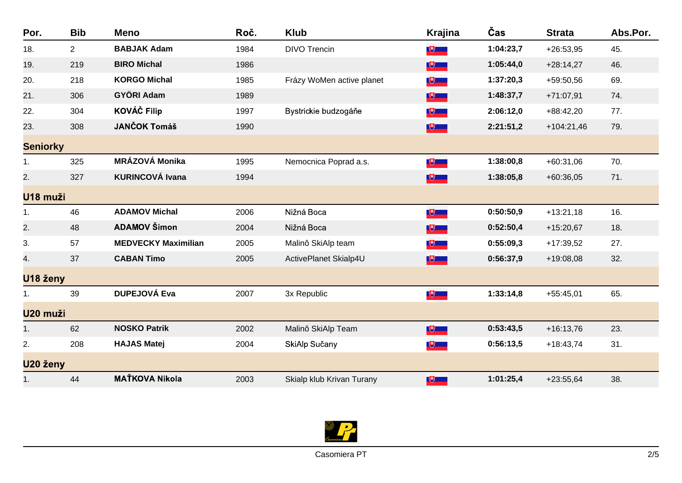| Por.            | <b>Bib</b>     | <b>Meno</b>                | Roč. | <b>Klub</b>               | <b>Krajina</b> | Čas       | <b>Strata</b> | Abs.Por. |
|-----------------|----------------|----------------------------|------|---------------------------|----------------|-----------|---------------|----------|
| 18.             | 2 <sup>1</sup> | <b>BABJAK Adam</b>         | 1984 | <b>DIVO Trencin</b>       | $\mathbb{U}$   | 1:04:23,7 | $+26:53,95$   | 45.      |
| 19.             | 219            | <b>BIRO Michal</b>         | 1986 |                           | $\mathbb{R}$   | 1:05:44,0 | $+28:14,27$   | 46.      |
| 20.             | 218            | <b>KORGO Michal</b>        | 1985 | Frázy WoMen active planet | $\mathbb{R}^+$ | 1:37:20,3 | +59:50,56     | 69.      |
| 21.             | 306            | <b>GYÖRI Adam</b>          | 1989 |                           | $\mathbb{R}$   | 1:48:37,7 | $+71:07,91$   | 74.      |
| 22.             | 304            | <b>KOVÁČ Filip</b>         | 1997 | Bystrickie budzogáňe      | $\mathbb{R}$   | 2:06:12,0 | $+88:42,20$   | 77.      |
| 23.             | 308            | <b>JANČOK Tomáš</b>        | 1990 |                           | $\mathbb{R}^+$ | 2:21:51,2 | $+104:21,46$  | 79.      |
| <b>Seniorky</b> |                |                            |      |                           |                |           |               |          |
| 1.              | 325            | <b>MRÁZOVÁ Monika</b>      | 1995 | Nemocnica Poprad a.s.     | $\mathbb{R}$   | 1:38:00,8 | $+60:31,06$   | 70.      |
| 2.              | 327            | <b>KURINCOVÁ Ivana</b>     | 1994 |                           | $\mathbb{R}^+$ | 1:38:05,8 | $+60:36,05$   | 71.      |
| U18 muži        |                |                            |      |                           |                |           |               |          |
| 1.              | 46             | <b>ADAMOV Michal</b>       | 2006 | Nižná Boca                | $\mathbb{R}$   | 0:50:50,9 | $+13:21,18$   | 16.      |
| 2.              | 48             | <b>ADAMOV Šimon</b>        | 2004 | Nižná Boca                | $\mathbb{R}^+$ | 0:52:50,4 | $+15:20,67$   | 18.      |
| 3.              | 57             | <b>MEDVECKY Maximilian</b> | 2005 | Malinô SkiAlp team        | $\mathbb{R}$   | 0:55:09,3 | $+17:39,52$   | 27.      |
| 4.              | 37             | <b>CABAN Timo</b>          | 2005 | ActivePlanet Skialp4U     | $\mathbb{R}$   | 0:56:37,9 | $+19:08,08$   | 32.      |
| U18 ženy        |                |                            |      |                           |                |           |               |          |
| 1.              | 39             | <b>DUPEJOVÁ Eva</b>        | 2007 | 3x Republic               | $\sqrt{2}$     | 1:33:14,8 | $+55:45,01$   | 65.      |
| U20 muži        |                |                            |      |                           |                |           |               |          |
| 1.              | 62             | <b>NOSKO Patrik</b>        | 2002 | Malinô SkiAlp Team        | $\mathbb{R}^+$ | 0:53:43,5 | $+16:13,76$   | 23.      |
| 2.              | 208            | <b>HAJAS Matej</b>         | 2004 | SkiAlp Sučany             | $\mathbb{R}^+$ | 0:56:13,5 | $+18:43,74$   | 31.      |
| U20 ženy        |                |                            |      |                           |                |           |               |          |
| 1.              | 44             | <b>MAŤKOVA Nikola</b>      | 2003 | Skialp klub Krivan Turany | $\mathbb{R}$   | 1:01:25,4 | $+23:55,64$   | 38.      |

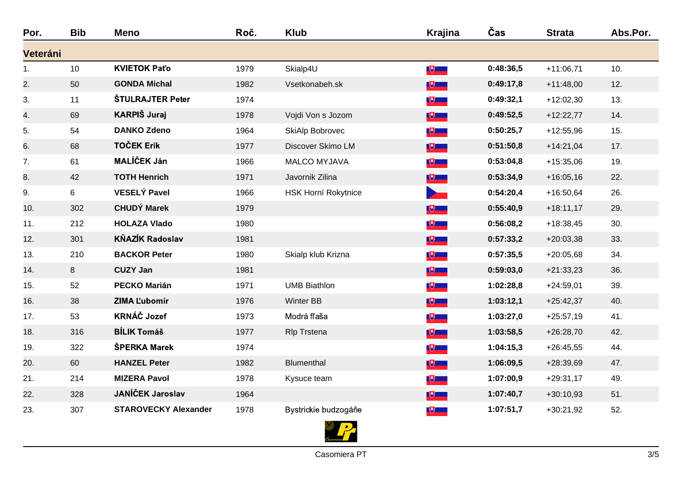| Por.           | <b>Bib</b> | <b>Meno</b>                 | Roč. | <b>Klub</b>                | <b>Krajina</b>   | Čas       | <b>Strata</b> | Abs.Por. |
|----------------|------------|-----------------------------|------|----------------------------|------------------|-----------|---------------|----------|
| Veteráni       |            |                             |      |                            |                  |           |               |          |
| $\mathbf{1}$ . | 10         | <b>KVIETOK Paťo</b>         | 1979 | Skialp4U                   | $\mathbb{R}$     | 0:48:36,5 | $+11:06,71$   | 10.      |
| 2.             | 50         | <b>GONDA Michal</b>         | 1982 | Vsetkonabeh.sk             | $\mathbb{R}^3$   | 0:49:17,8 | $+11:48,00$   | 12.      |
| 3.             | 11         | <b>ŠTULRAJTER Peter</b>     | 1974 |                            | $\mathbb{R}$     | 0:49:32,1 | $+12:02,30$   | 13.      |
| 4.             | 69         | <b>KARPIŠ Juraj</b>         | 1978 | Vojdi Von s Jozom          | $\mathbb{R}^+$   | 0:49:52,5 | $+12:22,77$   | 14.      |
| 5.             | 54         | <b>DANKO Zdeno</b>          | 1964 | SkiAlp Bobrovec            | $\bigcup$        | 0:50:25,7 | $+12:55,96$   | 15.      |
| 6.             | 68         | <b>TOČEK Erik</b>           | 1977 | Discover Skimo LM          | $\mathbb{R}$     | 0:51:50,8 | $+14:21,04$   | 17.      |
| 7.             | 61         | <b>MALÍČEK Ján</b>          | 1966 | <b>MALCO MYJAVA</b>        | $\mathbb{R}$     | 0:53:04,8 | $+15:35,06$   | 19.      |
| 8.             | 42         | <b>TOTH Henrich</b>         | 1971 | Javornik Zilina            | $\mathbb{R}^+$   | 0:53:34,9 | $+16:05,16$   | 22.      |
| 9.             | 6          | <b>VESELÝ Pavel</b>         | 1966 | <b>HSK Horní Rokytnice</b> | $\sum_{i=1}^{n}$ | 0:54:20,4 | $+16:50,64$   | 26.      |
| 10.            | 302        | <b>CHUDÝ Marek</b>          | 1979 |                            | $\mathbb{R}^+$   | 0:55:40,9 | $+18:11,17$   | 29.      |
| 11.            | 212        | <b>HOLAZA Vlado</b>         | 1980 |                            | $\mathbb{R}$     | 0:56:08,2 | $+18:38,45$   | 30.      |
| 12.            | 301        | <b>KŇAZÍK Radoslav</b>      | 1981 |                            | $\mathbb{R}^+$   | 0:57:33,2 | $+20:03,38$   | 33.      |
| 13.            | 210        | <b>BACKOR Peter</b>         | 1980 | Skialp klub Krizna         | $\mathbb{R}$     | 0:57:35,5 | $+20:05,68$   | 34.      |
| 14.            | 8          | <b>CUZY Jan</b>             | 1981 |                            | $\mathbb{R}^+$   | 0:59:03,0 | $+21:33,23$   | 36.      |
| 15.            | 52         | <b>PECKO Marián</b>         | 1971 | <b>UMB Biathlon</b>        | $\mathbb{R}^+$   | 1:02:28,8 | $+24:59,01$   | 39.      |
| 16.            | 38         | <b>ZIMA L'ubomír</b>        | 1976 | <b>Winter BB</b>           | $\mathbb{R}^+$   | 1:03:12,1 | $+25:42,37$   | 40.      |
| 17.            | 53         | <b>KRNÁČ Jozef</b>          | 1973 | Modrá fľaša                | $\mathbb{R}^+$   | 1:03:27,0 | $+25:57,19$   | 41.      |
| 18.            | 316        | <b>BÍLIK Tomáš</b>          | 1977 | <b>RIp Trstena</b>         | $\mathbb{R}^+$   | 1:03:58,5 | $+26:28,70$   | 42.      |
| 19.            | 322        | ŠPERKA Marek                | 1974 |                            | $\mathbb{R}$     | 1:04:15,3 | $+26:45,55$   | 44.      |
| 20.            | 60         | <b>HANZEL Peter</b>         | 1982 | Blumenthal                 | $\mathbb{R}^+$   | 1:06:09,5 | +28:39,69     | 47.      |
| 21.            | 214        | <b>MIZERA Pavol</b>         | 1978 | Kysuce team                | $\mathbb{R}$     | 1:07:00,9 | $+29:31,17$   | 49.      |
| 22.            | 328        | JANÍČEK Jaroslav            | 1964 |                            | $\mathbb{R}^+$   | 1:07:40,7 | $+30:10,93$   | 51.      |
| 23.            | 307        | <b>STAROVECKY Alexander</b> | 1978 | Bystrickie budzogáňe       | $\sqrt{2}$       | 1:07:51,7 | $+30:21,92$   | 52.      |

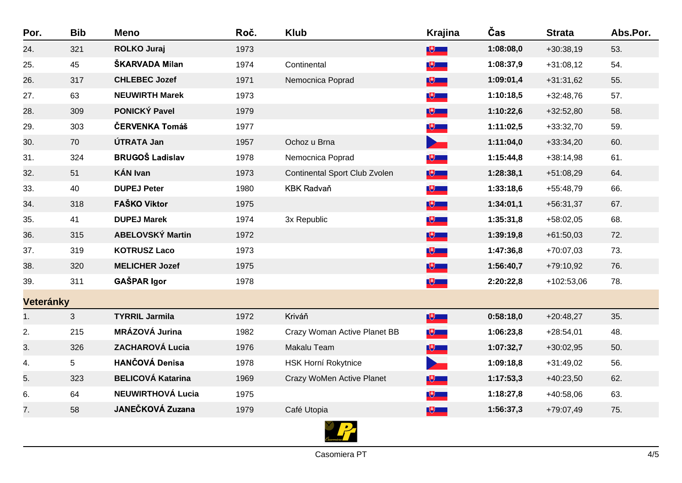| Por.             | <b>Bib</b>   | <b>Meno</b>              | Roč. | <b>Klub</b>                   | <b>Krajina</b>           | Čas       | <b>Strata</b> | Abs.Por. |
|------------------|--------------|--------------------------|------|-------------------------------|--------------------------|-----------|---------------|----------|
| 24.              | 321          | <b>ROLKO Juraj</b>       | 1973 |                               | $\mathbb{R}^+$           | 1:08:08,0 | $+30:38,19$   | 53.      |
| 25.              | 45           | ŠKARVADA Milan           | 1974 | Continental                   | $\mathbb{R}$             | 1:08:37,9 | $+31:08,12$   | 54.      |
| 26.              | 317          | <b>CHLEBEC Jozef</b>     | 1971 | Nemocnica Poprad              | $\mathbb{R}^+$           | 1:09:01,4 | $+31:31,62$   | 55.      |
| 27.              | 63           | <b>NEUWIRTH Marek</b>    | 1973 |                               | $\mathbb{R}^+$           | 1:10:18,5 | +32:48,76     | 57.      |
| 28.              | 309          | <b>PONICKÝ Pavel</b>     | 1979 |                               | $\mathbb{R}^+$           | 1:10:22,6 | $+32:52,80$   | 58.      |
| 29.              | 303          | ČERVENKA Tomáš           | 1977 |                               | $\mathbb{R}^+$           | 1:11:02,5 | $+33:32,70$   | 59.      |
| 30.              | 70           | ÚTRATA Jan               | 1957 | Ochoz u Brna                  | $\overline{\phantom{a}}$ | 1:11:04,0 | $+33:34,20$   | 60.      |
| 31.              | 324          | <b>BRUGOŠ Ladislav</b>   | 1978 | Nemocnica Poprad              | $\mathbb{R}^+$           | 1:15:44,8 | +38:14,98     | 61.      |
| 32.              | 51           | <b>KÁN Ivan</b>          | 1973 | Continental Sport Club Zvolen | $\mathbb{R}^+$           | 1:28:38,1 | $+51:08,29$   | 64.      |
| 33.              | 40           | <b>DUPEJ Peter</b>       | 1980 | <b>KBK Radvaň</b>             | $\mathbb{R}^+$           | 1:33:18,6 | +55:48,79     | 66.      |
| 34.              | 318          | <b>FAŠKO Viktor</b>      | 1975 |                               | 少一                       | 1:34:01,1 | $+56:31,37$   | 67.      |
| 35.              | 41           | <b>DUPEJ Marek</b>       | 1974 | 3x Republic                   | $\bigcup$                | 1:35:31,8 | $+58:02,05$   | 68.      |
| 36.              | 315          | <b>ABELOVSKÝ Martin</b>  | 1972 |                               | $\mathbb{R}^+$           | 1:39:19,8 | $+61:50,03$   | 72.      |
| 37.              | 319          | <b>KOTRUSZ Laco</b>      | 1973 |                               | $\bigcup$                | 1:47:36,8 | $+70:07,03$   | 73.      |
| 38.              | 320          | <b>MELICHER Jozef</b>    | 1975 |                               | 少一                       | 1:56:40,7 | +79:10,92     | 76.      |
| 39.              | 311          | <b>GAŠPAR Igor</b>       | 1978 |                               | $\mathbb{R}^+$           | 2:20:22,8 | +102:53,06    | 78.      |
| <b>Veteránky</b> |              |                          |      |                               |                          |           |               |          |
| 1.               | $\mathbf{3}$ | <b>TYRRIL Jarmila</b>    | 1972 | Kriváň                        | $\mathbb{R}^+$           | 0:58:18,0 | $+20:48,27$   | 35.      |
| 2.               | 215          | MRÁZOVÁ Jurina           | 1982 | Crazy Woman Active Planet BB  | $\mathbb{R}$             | 1:06:23,8 | $+28:54,01$   | 48.      |
| 3.               | 326          | <b>ZACHAROVÁ Lucia</b>   | 1976 | Makalu Team                   | $\mathbb{R}^+$           | 1:07:32,7 | $+30:02,95$   | 50.      |
| 4.               | 5            | <b>HANČOVÁ Denisa</b>    | 1978 | <b>HSK Horní Rokytnice</b>    |                          | 1:09:18,8 | $+31:49,02$   | 56.      |
| 5.               | 323          | <b>BELICOVÁ Katarina</b> | 1969 | Crazy WoMen Active Planet     | 少一                       | 1:17:53,3 | $+40:23,50$   | 62.      |
| 6.               | 64           | <b>NEUWIRTHOVÁ Lucia</b> | 1975 |                               | $\bigcup$                | 1:18:27,8 | $+40:58,06$   | 63.      |
| 7.               | 58           | <b>JANEČKOVÁ Zuzana</b>  | 1979 | Café Utopia                   | $\mathbb{R}^+$           | 1:56:37,3 | +79:07,49     | 75.      |
|                  |              |                          |      |                               |                          |           |               |          |